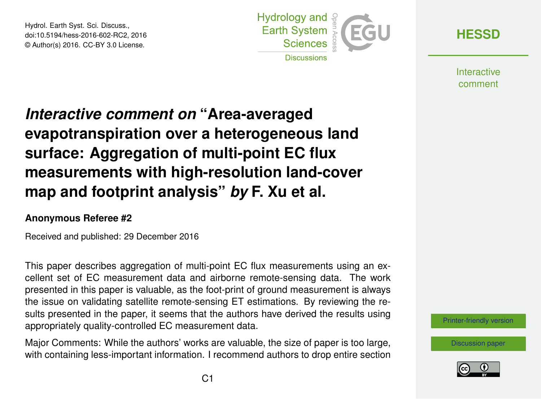Hydrol. Earth Syst. Sci. Discuss., doi:10.5194/hess-2016-602-RC2, 2016 © Author(s) 2016. CC-BY 3.0 License.



**[HESSD](http://www.hydrol-earth-syst-sci-discuss.net/)**

**Interactive** comment

## *Interactive comment on* **"Area-averaged evapotranspiration over a heterogeneous land surface: Aggregation of multi-point EC flux measurements with high-resolution land-cover map and footprint analysis"** *by* **F. Xu et al.**

## **Anonymous Referee #2**

Received and published: 29 December 2016

This paper describes aggregation of multi-point EC flux measurements using an excellent set of EC measurement data and airborne remote-sensing data. The work presented in this paper is valuable, as the foot-print of ground measurement is always the issue on validating satellite remote-sensing ET estimations. By reviewing the results presented in the paper, it seems that the authors have derived the results using appropriately quality-controlled EC measurement data.

Major Comments: While the authors' works are valuable, the size of paper is too large, with containing less-important information. I recommend authors to drop entire section



[Discussion paper](http://www.hydrol-earth-syst-sci-discuss.net/hess-2016-602)